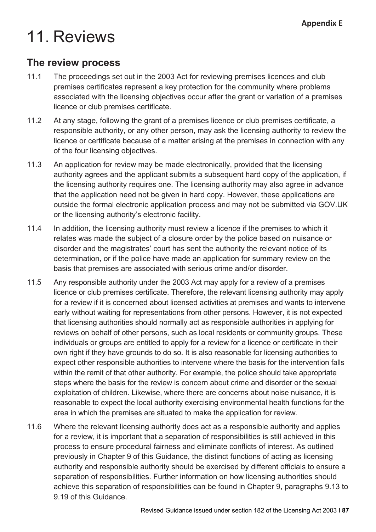# 11. Reviews

#### **The review process**

- 11.1 The proceedings set out in the 2003 Act for reviewing premises licences and club premises certificates represent a key protection for the community where problems associated with the licensing objectives occur after the grant or variation of a premises licence or club premises certificate.
- 11.2 At any stage, following the grant of a premises licence or club premises certificate, a responsible authority, or any other person, may ask the licensing authority to review the licence or certificate because of a matter arising at the premises in connection with any of the four licensing objectives.
- 11.3 An application for review may be made electronically, provided that the licensing authority agrees and the applicant submits a subsequent hard copy of the application, if the licensing authority requires one. The licensing authority may also agree in advance that the application need not be given in hard copy. However, these applications are outside the formal electronic application process and may not be submitted via GOV.UK or the licensing authority's electronic facility.
- 11.4 In addition, the licensing authority must review a licence if the premises to which it relates was made the subject of a closure order by the police based on nuisance or disorder and the magistrates' court has sent the authority the relevant notice of its determination, or if the police have made an application for summary review on the basis that premises are associated with serious crime and/or disorder.
- 11.5 Any responsible authority under the 2003 Act may apply for a review of a premises licence or club premises certificate. Therefore, the relevant licensing authority may apply for a review if it is concerned about licensed activities at premises and wants to intervene early without waiting for representations from other persons. However, it is not expected that licensing authorities should normally act as responsible authorities in applying for reviews on behalf of other persons, such as local residents or community groups. These individuals or groups are entitled to apply for a review for a licence or certificate in their own right if they have grounds to do so. It is also reasonable for licensing authorities to expect other responsible authorities to intervene where the basis for the intervention falls within the remit of that other authority. For example, the police should take appropriate steps where the basis for the review is concern about crime and disorder or the sexual exploitation of children. Likewise, where there are concerns about noise nuisance, it is reasonable to expect the local authority exercising environmental health functions for the area in which the premises are situated to make the application for review.
- 11.6 Where the relevant licensing authority does act as a responsible authority and applies for a review, it is important that a separation of responsibilities is still achieved in this process to ensure procedural fairness and eliminate conflicts of interest. As outlined previously in Chapter 9 of this Guidance, the distinct functions of acting as licensing authority and responsible authority should be exercised by different officials to ensure a separation of responsibilities. Further information on how licensing authorities should achieve this separation of responsibilities can be found in Chapter 9, paragraphs 9.13 to 9.19 of this Guidance.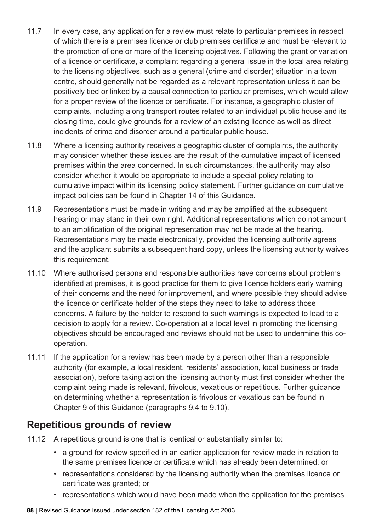- 11.7 In every case, any application for a review must relate to particular premises in respect of which there is a premises licence or club premises certificate and must be relevant to the promotion of one or more of the licensing objectives. Following the grant or variation of a licence or certificate, a complaint regarding a general issue in the local area relating to the licensing objectives, such as a general (crime and disorder) situation in a town centre, should generally not be regarded as a relevant representation unless it can be positively tied or linked by a causal connection to particular premises, which would allow for a proper review of the licence or certificate. For instance, a geographic cluster of complaints, including along transport routes related to an individual public house and its closing time, could give grounds for a review of an existing licence as well as direct incidents of crime and disorder around a particular public house.
- 11.8 Where a licensing authority receives a geographic cluster of complaints, the authority may consider whether these issues are the result of the cumulative impact of licensed premises within the area concerned. In such circumstances, the authority may also consider whether it would be appropriate to include a special policy relating to cumulative impact within its licensing policy statement. Further guidance on cumulative impact policies can be found in Chapter 14 of this Guidance.
- 11.9 Representations must be made in writing and may be amplified at the subsequent hearing or may stand in their own right. Additional representations which do not amount to an amplification of the original representation may not be made at the hearing. Representations may be made electronically, provided the licensing authority agrees and the applicant submits a subsequent hard copy, unless the licensing authority waives this requirement.
- 11.10 Where authorised persons and responsible authorities have concerns about problems identified at premises, it is good practice for them to give licence holders early warning of their concerns and the need for improvement, and where possible they should advise the licence or certificate holder of the steps they need to take to address those concerns. A failure by the holder to respond to such warnings is expected to lead to a decision to apply for a review. Co-operation at a local level in promoting the licensing objectives should be encouraged and reviews should not be used to undermine this cooperation.
- 11.11 If the application for a review has been made by a person other than a responsible authority (for example, a local resident, residents' association, local business or trade association), before taking action the licensing authority must first consider whether the complaint being made is relevant, frivolous, vexatious or repetitious. Further guidance on determining whether a representation is frivolous or vexatious can be found in Chapter 9 of this Guidance (paragraphs 9.4 to 9.10).

# **Repetitious grounds of review**

- 11.12 A repetitious ground is one that is identical or substantially similar to:
	- a ground for review specified in an earlier application for review made in relation to the same premises licence or certificate which has already been determined; or
	- representations considered by the licensing authority when the premises licence or certificate was granted; or
	- representations which would have been made when the application for the premises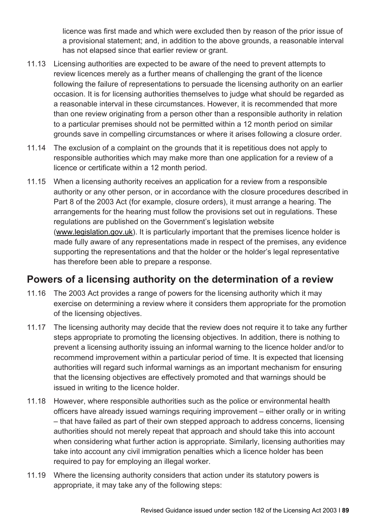licence was first made and which were excluded then by reason of the prior issue of a provisional statement; and, in addition to the above grounds, a reasonable interval has not elapsed since that earlier review or grant.

- 11.13 Licensing authorities are expected to be aware of the need to prevent attempts to review licences merely as a further means of challenging the grant of the licence following the failure of representations to persuade the licensing authority on an earlier occasion. It is for licensing authorities themselves to judge what should be regarded as a reasonable interval in these circumstances. However, it is recommended that more than one review originating from a person other than a responsible authority in relation to a particular premises should not be permitted within a 12 month period on similar grounds save in compelling circumstances or where it arises following a closure order.
- 11.14 The exclusion of a complaint on the grounds that it is repetitious does not apply to responsible authorities which may make more than one application for a review of a licence or certificate within a 12 month period.
- 11.15 When a licensing authority receives an application for a review from a responsible authority or any other person, or in accordance with the closure procedures described in Part 8 of the 2003 Act (for example, closure orders), it must arrange a hearing. The arrangements for the hearing must follow the provisions set out in regulations. These regulations are published on the Government's legislation website [\(www.legislation.gov.](http://www.legislation.gov.uk/)uk). It is particularly important that the premises licence holder is made fully aware of any representations made in respect of the premises, any evidence supporting the representations and that the holder or the holder's legal representative has therefore been able to prepare a response.

# **Powers of a licensing authority on the determination of a review**

- 11.16 The 2003 Act provides a range of powers for the licensing authority which it may exercise on determining a review where it considers them appropriate for the promotion of the licensing objectives.
- 11.17 The licensing authority may decide that the review does not require it to take any further steps appropriate to promoting the licensing objectives. In addition, there is nothing to prevent a licensing authority issuing an informal warning to the licence holder and/or to recommend improvement within a particular period of time. It is expected that licensing authorities will regard such informal warnings as an important mechanism for ensuring that the licensing objectives are effectively promoted and that warnings should be issued in writing to the licence holder.
- 11.18 However, where responsible authorities such as the police or environmental health officers have already issued warnings requiring improvement – either orally or in writing – that have failed as part of their own stepped approach to address concerns, licensing authorities should not merely repeat that approach and should take this into account when considering what further action is appropriate. Similarly, licensing authorities may take into account any civil immigration penalties which a licence holder has been required to pay for employing an illegal worker.
- 11.19 Where the licensing authority considers that action under its statutory powers is appropriate, it may take any of the following steps: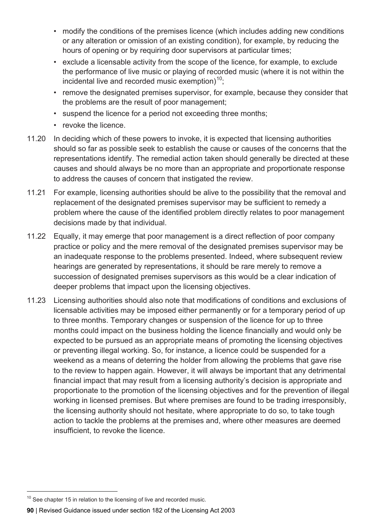- modify the conditions of the premises licence (which includes adding new conditions or any alteration or omission of an existing condition), for example, by reducing the hours of opening or by requiring door supervisors at particular times;
- exclude a licensable activity from the scope of the licence, for example, to exclude the performance of live music or playing of recorded music (where it is not within the incidental live and recorded music exemption) $10$ ;
- remove the designated premises supervisor, for example, because they consider that the problems are the result of poor management;
- suspend the licence for a period not exceeding three months;
- revoke the licence.
- 11.20 In deciding which of these powers to invoke, it is expected that licensing authorities should so far as possible seek to establish the cause or causes of the concerns that the representations identify. The remedial action taken should generally be directed at these causes and should always be no more than an appropriate and proportionate response to address the causes of concern that instigated the review.
- 11.21 For example, licensing authorities should be alive to the possibility that the removal and replacement of the designated premises supervisor may be sufficient to remedy a problem where the cause of the identified problem directly relates to poor management decisions made by that individual.
- 11.22 Equally, it may emerge that poor management is a direct reflection of poor company practice or policy and the mere removal of the designated premises supervisor may be an inadequate response to the problems presented. Indeed, where subsequent review hearings are generated by representations, it should be rare merely to remove a succession of designated premises supervisors as this would be a clear indication of deeper problems that impact upon the licensing objectives.
- 11.23 Licensing authorities should also note that modifications of conditions and exclusions of licensable activities may be imposed either permanently or for a temporary period of up to three months. Temporary changes or suspension of the licence for up to three months could impact on the business holding the licence financially and would only be expected to be pursued as an appropriate means of promoting the licensing objectives or preventing illegal working. So, for instance, a licence could be suspended for a weekend as a means of deterring the holder from allowing the problems that gave rise to the review to happen again. However, it will always be important that any detrimental financial impact that may result from a licensing authority's decision is appropriate and proportionate to the promotion of the licensing objectives and for the prevention of illegal working in licensed premises. But where premises are found to be trading irresponsibly, the licensing authority should not hesitate, where appropriate to do so, to take tough action to tackle the problems at the premises and, where other measures are deemed insufficient, to revoke the licence.

<span id="page-3-0"></span> $10$  See chapter 15 in relation to the licensing of live and recorded music.

**<sup>90</sup>** | Revised Guidance issued under section 182 of the Licensing Act 2003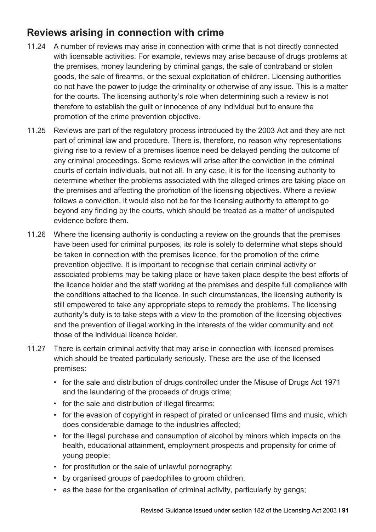# **Reviews arising in connection with crime**

- 11.24 A number of reviews may arise in connection with crime that is not directly connected with licensable activities. For example, reviews may arise because of drugs problems at the premises, money laundering by criminal gangs, the sale of contraband or stolen goods, the sale of firearms, or the sexual exploitation of children. Licensing authorities do not have the power to judge the criminality or otherwise of any issue. This is a matter for the courts. The licensing authority's role when determining such a review is not therefore to establish the guilt or innocence of any individual but to ensure the promotion of the crime prevention objective.
- 11.25 Reviews are part of the regulatory process introduced by the 2003 Act and they are not part of criminal law and procedure. There is, therefore, no reason why representations giving rise to a review of a premises licence need be delayed pending the outcome of any criminal proceedings. Some reviews will arise after the conviction in the criminal courts of certain individuals, but not all. In any case, it is for the licensing authority to determine whether the problems associated with the alleged crimes are taking place on the premises and affecting the promotion of the licensing objectives. Where a review follows a conviction, it would also not be for the licensing authority to attempt to go beyond any finding by the courts, which should be treated as a matter of undisputed evidence before them.
- 11.26 Where the licensing authority is conducting a review on the grounds that the premises have been used for criminal purposes, its role is solely to determine what steps should be taken in connection with the premises licence, for the promotion of the crime prevention objective. It is important to recognise that certain criminal activity or associated problems may be taking place or have taken place despite the best efforts of the licence holder and the staff working at the premises and despite full compliance with the conditions attached to the licence. In such circumstances, the licensing authority is still empowered to take any appropriate steps to remedy the problems. The licensing authority's duty is to take steps with a view to the promotion of the licensing objectives and the prevention of illegal working in the interests of the wider community and not those of the individual licence holder.
- 11.27 There is certain criminal activity that may arise in connection with licensed premises which should be treated particularly seriously. These are the use of the licensed premises:
	- for the sale and distribution of drugs controlled under the Misuse of Drugs Act 1971 and the laundering of the proceeds of drugs crime;
	- for the sale and distribution of illegal firearms:
	- for the evasion of copyright in respect of pirated or unlicensed films and music, which does considerable damage to the industries affected;
	- for the illegal purchase and consumption of alcohol by minors which impacts on the health, educational attainment, employment prospects and propensity for crime of young people;
	- for prostitution or the sale of unlawful pornography;
	- by organised groups of paedophiles to groom children;
	- as the base for the organisation of criminal activity, particularly by gangs;